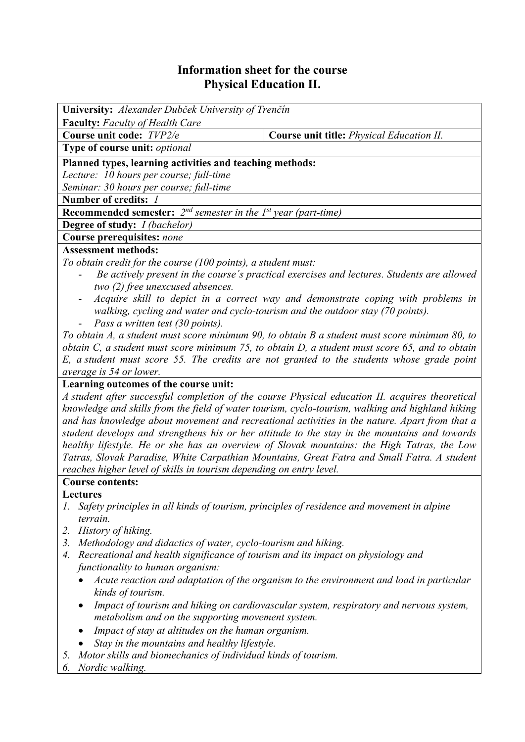# **Information sheet for the course Physical Education II.**

| <b>University:</b> Alexander Dubček University of Trenčín                                     |                                                                                            |  |  |  |  |
|-----------------------------------------------------------------------------------------------|--------------------------------------------------------------------------------------------|--|--|--|--|
| <b>Faculty:</b> Faculty of Health Care                                                        |                                                                                            |  |  |  |  |
| Course unit code: TVP2/e                                                                      | <b>Course unit title:</b> <i>Physical Education II.</i>                                    |  |  |  |  |
| Type of course unit: optional                                                                 |                                                                                            |  |  |  |  |
| Planned types, learning activities and teaching methods:                                      |                                                                                            |  |  |  |  |
| Lecture: 10 hours per course; full-time                                                       |                                                                                            |  |  |  |  |
| Seminar: 30 hours per course; full-time                                                       |                                                                                            |  |  |  |  |
| Number of credits: 1                                                                          |                                                                                            |  |  |  |  |
| <b>Recommended semester:</b> $2^{nd}$ semester in the 1 <sup>st</sup> year (part-time)        |                                                                                            |  |  |  |  |
| <b>Degree of study:</b> <i>I (bachelor)</i>                                                   |                                                                                            |  |  |  |  |
| Course prerequisites: none                                                                    |                                                                                            |  |  |  |  |
| <b>Assessment methods:</b>                                                                    |                                                                                            |  |  |  |  |
| To obtain credit for the course (100 points), a student must:                                 |                                                                                            |  |  |  |  |
|                                                                                               | Be actively present in the course's practical exercises and lectures. Students are allowed |  |  |  |  |
| two (2) free unexcused absences.                                                              |                                                                                            |  |  |  |  |
| $\qquad \qquad \blacksquare$                                                                  | Acquire skill to depict in a correct way and demonstrate coping with problems in           |  |  |  |  |
| walking, cycling and water and cyclo-tourism and the outdoor stay (70 points).                |                                                                                            |  |  |  |  |
| <i>Pass a written test (30 points).</i><br>$\overline{\phantom{0}}$                           |                                                                                            |  |  |  |  |
| To obtain A, a student must score minimum 90, to obtain B a student must score minimum 80, to |                                                                                            |  |  |  |  |
|                                                                                               |                                                                                            |  |  |  |  |

*obtain C, a student must score minimum 75, to obtain D, a student must score 65, and to obtain E, a student must score 55. The credits are not granted to the students whose grade point average is 54 or lower.*

## **Learning outcomes of the course unit:**

*A student after successful completion of the course Physical education II. acquires theoretical knowledge and skills from the field of water tourism, cyclo-tourism, walking and highland hiking and has knowledge about movement and recreational activities in the nature. Apart from that a student develops and strengthens his or her attitude to the stay in the mountains and towards healthy lifestyle. He or she has an overview of Slovak mountains: the High Tatras, the Low Tatras, Slovak Paradise, White Carpathian Mountains, Great Fatra and Small Fatra. A student reaches higher level of skills in tourism depending on entry level.* 

# **Course contents:**

**Lectures**

- *1. Safety principles in all kinds of tourism, principles of residence and movement in alpine terrain.*
- *2. History of hiking.*
- *3. Methodology and didactics of water, cyclo-tourism and hiking.*
- *4. Recreational and health significance of tourism and its impact on physiology and functionality to human organism:* 
	- *Acute reaction and adaptation of the organism to the environment and load in particular kinds of tourism.*
	- *Impact of tourism and hiking on cardiovascular system, respiratory and nervous system, metabolism and on the supporting movement system.*
	- *Impact of stay at altitudes on the human organism.*
	- *Stay in the mountains and healthy lifestyle.*
- *5. Motor skills and biomechanics of individual kinds of tourism.*
- *6. Nordic walking.*